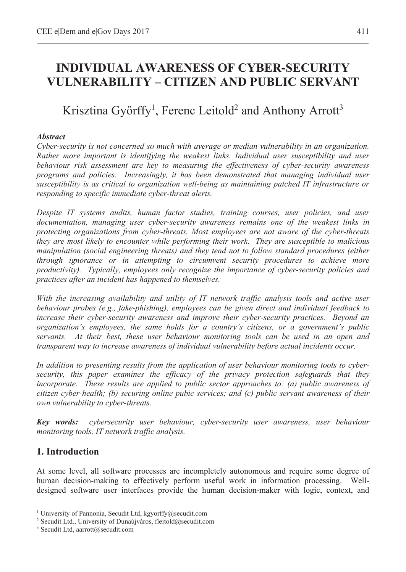# **INDIVIDUAL AWARENESS OF CYBER-SECURITY VULNERABILITY – CITIZEN AND PUBLIC SERVANT**

# Krisztina Győrffy<sup>1</sup>, Ferenc Leitold<sup>2</sup> and Anthony Arrott<sup>3</sup>

#### *Abstract*

*Cyber-security is not concerned so much with average or median vulnerability in an organization. Rather more important is identifying the weakest links. Individual user susceptibility and user behaviour risk assessment are key to measuring the effectiveness of cyber-security awareness programs and policies. Increasingly, it has been demonstrated that managing individual user susceptibility is as critical to organization well-being as maintaining patched IT infrastructure or responding to specific immediate cyber-threat alerts.* 

*Despite IT systems audits, human factor studies, training courses, user policies, and user documentation, managing user cyber-security awareness remains one of the weakest links in protecting organizations from cyber-threats. Most employees are not aware of the cyber-threats they are most likely to encounter while performing their work. They are susceptible to malicious manipulation (social engineering threats) and they tend not to follow standard procedures (either through ignorance or in attempting to circumvent security procedures to achieve more productivity). Typically, employees only recognize the importance of cyber-security policies and practices after an incident has happened to themselves.* 

*With the increasing availability and utility of IT network traffic analysis tools and active user behaviour probes (e.g., fake-phishing), employees can be given direct and individual feedback to increase their cyber-security awareness and improve their cyber-security practices. Beyond an organization's employees, the same holds for a country's citizens, or a government's public servants. At their best, these user behaviour monitoring tools can be used in an open and transparent way to increase awareness of individual vulnerability before actual incidents occur.* 

*In addition to presenting results from the application of user behaviour monitoring tools to cybersecurity, this paper examines the efficacy of the privacy protection safeguards that they incorporate. These results are applied to public sector approaches to: (a) public awareness of citizen cyber-health; (b) securing online pubic services; and (c) public servant awareness of their own vulnerability to cyber-threats.* 

*Key words: cybersecurity user behaviour, cyber-security user awareness, user behaviour monitoring tools, IT network traffic analysis.* 

## **1. Introduction**

 $\overline{a}$ 

At some level, all software processes are incompletely autonomous and require some degree of human decision-making to effectively perform useful work in information processing. Welldesigned software user interfaces provide the human decision-maker with logic, context, and

<sup>&</sup>lt;sup>1</sup> University of Pannonia, Secudit Ltd, kgyorffy@secudit.com  $\frac{2}{3}$  Secudit 1.1 University of Dunamiyáros, fleitold@secudit.com

<sup>&</sup>lt;sup>2</sup> Secudit Ltd., University of Dunaújváros, fleitold@secudit.com

<sup>3</sup> Secudit Ltd, aarrott@secudit.com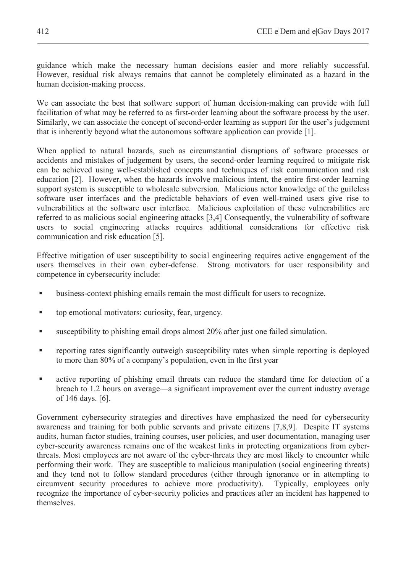guidance which make the necessary human decisions easier and more reliably successful. However, residual risk always remains that cannot be completely eliminated as a hazard in the human decision-making process.

We can associate the best that software support of human decision-making can provide with full facilitation of what may be referred to as first-order learning about the software process by the user. Similarly, we can associate the concept of second-order learning as support for the user's judgement that is inherently beyond what the autonomous software application can provide [1].

When applied to natural hazards, such as circumstantial disruptions of software processes or accidents and mistakes of judgement by users, the second-order learning required to mitigate risk can be achieved using well-established concepts and techniques of risk communication and risk education [2]. However, when the hazards involve malicious intent, the entire first-order learning support system is susceptible to wholesale subversion. Malicious actor knowledge of the guileless software user interfaces and the predictable behaviors of even well-trained users give rise to vulnerabilities at the software user interface. Malicious exploitation of these vulnerabilities are referred to as malicious social engineering attacks [3,4] Consequently, the vulnerability of software users to social engineering attacks requires additional considerations for effective risk communication and risk education [5].

Effective mitigation of user susceptibility to social engineering requires active engagement of the users themselves in their own cyber-defense. Strong motivators for user responsibility and competence in cybersecurity include:

- business-context phishing emails remain the most difficult for users to recognize.
- top emotional motivators: curiosity, fear, urgency.
- susceptibility to phishing email drops almost 20% after just one failed simulation.
- reporting rates significantly outweigh susceptibility rates when simple reporting is deployed to more than 80% of a company's population, even in the first year
- active reporting of phishing email threats can reduce the standard time for detection of a breach to 1.2 hours on average—a significant improvement over the current industry average of 146 days. [6].

Government cybersecurity strategies and directives have emphasized the need for cybersecurity awareness and training for both public servants and private citizens [7,8,9]. Despite IT systems audits, human factor studies, training courses, user policies, and user documentation, managing user cyber-security awareness remains one of the weakest links in protecting organizations from cyberthreats. Most employees are not aware of the cyber-threats they are most likely to encounter while performing their work. They are susceptible to malicious manipulation (social engineering threats) and they tend not to follow standard procedures (either through ignorance or in attempting to circumvent security procedures to achieve more productivity). Typically, employees only circumvent security procedures to achieve more productivity). recognize the importance of cyber-security policies and practices after an incident has happened to themselves.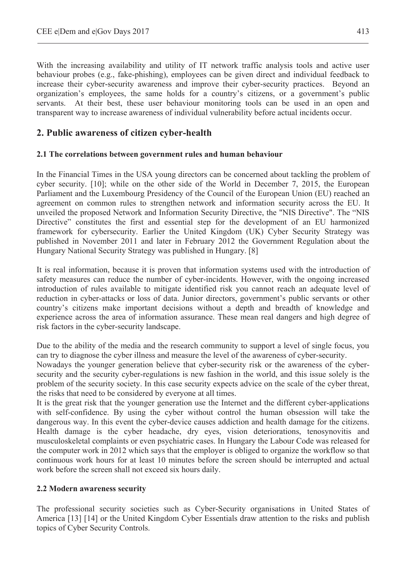With the increasing availability and utility of IT network traffic analysis tools and active user behaviour probes (e.g., fake-phishing), employees can be given direct and individual feedback to increase their cyber-security awareness and improve their cyber-security practices. Beyond an organization's employees, the same holds for a country's citizens, or a government's public servants. At their best, these user behaviour monitoring tools can be used in an open and transparent way to increase awareness of individual vulnerability before actual incidents occur.

## **2. Public awareness of citizen cyber-health**

#### **2.1 The correlations between government rules and human behaviour**

In the Financial Times in the USA young directors can be concerned about tackling the problem of cyber security. [10]; while on the other side of the World in December 7, 2015, the European Parliament and the Luxembourg Presidency of the Council of the European Union (EU) reached an agreement on common rules to strengthen network and information security across the EU. It unveiled the proposed Network and Information Security Directive, the "NIS Directive". The "NIS Directive" constitutes the first and essential step for the development of an EU harmonized framework for cybersecurity. Earlier the United Kingdom (UK) Cyber Security Strategy was published in November 2011 and later in February 2012 the Government Regulation about the Hungary National Security Strategy was published in Hungary. [8]

It is real information, because it is proven that information systems used with the introduction of safety measures can reduce the number of cyber-incidents. However, with the ongoing increased introduction of rules available to mitigate identified risk you cannot reach an adequate level of reduction in cyber-attacks or loss of data. Junior directors, government's public servants or other country's citizens make important decisions without a depth and breadth of knowledge and experience across the area of information assurance. These mean real dangers and high degree of risk factors in the cyber-security landscape.

Due to the ability of the media and the research community to support a level of single focus, you can try to diagnose the cyber illness and measure the level of the awareness of cyber-security.

Nowadays the younger generation believe that cyber-security risk or the awareness of the cybersecurity and the security cyber-regulations is new fashion in the world, and this issue solely is the problem of the security society. In this case security expects advice on the scale of the cyber threat, the risks that need to be considered by everyone at all times.

It is the great risk that the younger generation use the Internet and the different cyber-applications with self-confidence. By using the cyber without control the human obsession will take the dangerous way. In this event the cyber-device causes addiction and health damage for the citizens. Health damage is the cyber headache, dry eyes, vision deteriorations, tenosynovitis and musculoskeletal complaints or even psychiatric cases. In Hungary the Labour Code was released for the computer work in 2012 which says that the employer is obliged to organize the workflow so that continuous work hours for at least 10 minutes before the screen should be interrupted and actual work before the screen shall not exceed six hours daily.

## **2.2 Modern awareness security**

The professional security societies such as Cyber-Security organisations in United States of America [13] [14] or the United Kingdom Cyber Essentials draw attention to the risks and publish topics of Cyber Security Controls.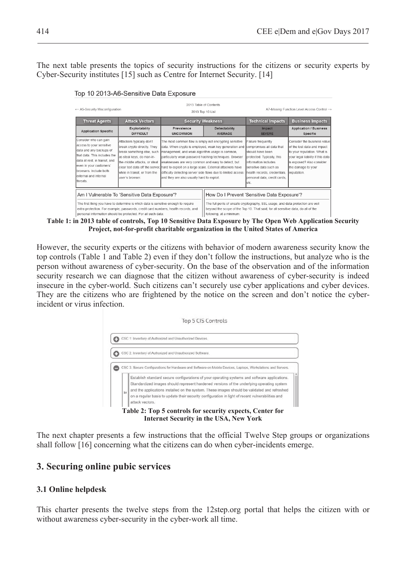The next table presents the topics of security instructions for the citizens or security experts by Cyber-Security institutes [15] such as Centre for Internet Security. [14]

Top 10 2013-A6-Sensitive Data Exposure

| ← A5-Security Misconfiguration                                                                                                                                                                                            |                          |                                                                                                                                                                                                                    | A7-Missing Function Level Access Control →                                                                                                                                                                                                                                                                                                                                                                                                                                                                                                                            |                                                                                                                                                                                                  |  |  |
|---------------------------------------------------------------------------------------------------------------------------------------------------------------------------------------------------------------------------|--------------------------|--------------------------------------------------------------------------------------------------------------------------------------------------------------------------------------------------------------------|-----------------------------------------------------------------------------------------------------------------------------------------------------------------------------------------------------------------------------------------------------------------------------------------------------------------------------------------------------------------------------------------------------------------------------------------------------------------------------------------------------------------------------------------------------------------------|--------------------------------------------------------------------------------------------------------------------------------------------------------------------------------------------------|--|--|
| <b>Attack Vectors</b>                                                                                                                                                                                                     | <b>Security Weakness</b> |                                                                                                                                                                                                                    | <b>Technical Impacts</b>                                                                                                                                                                                                                                                                                                                                                                                                                                                                                                                                              | <b>Business Impacts</b>                                                                                                                                                                          |  |  |
| <b>DIFFICULT</b>                                                                                                                                                                                                          | <b>UNCOMMON</b>          | <b>AVERAGE</b>                                                                                                                                                                                                     | <b>Impact</b><br><b>SEVERE</b>                                                                                                                                                                                                                                                                                                                                                                                                                                                                                                                                        | <b>Application / Business</b><br>Specific                                                                                                                                                        |  |  |
| Attackers typically don't<br>break crypto directly. They<br>break something else, such<br>as steal keys, do man-in-<br>the-middle attacks, or steal<br>while in transit, or from the<br>user's browser                    |                          |                                                                                                                                                                                                                    | Failure frequently<br>should have been<br>protected. Typically, this<br>information includes<br>sensitive data such as<br>health records, credentials,<br>personal data, credit cards,<br>letc.                                                                                                                                                                                                                                                                                                                                                                       | Consider the business value<br>of the lost data and impact<br>to your reputation. What is<br>your legal liability if this data<br>is exposed? Also consider<br>the damage to your<br>reputation. |  |  |
| Am I Vulnerable To 'Sensitive Data Exposure'?<br>The first thing you have to determine is which data is sensitive enough to require<br>extra protection. For example, passwords, credit card numbers, health records, and |                          | How Do I Prevent 'Sensitive Data Exposure'?<br>The full perils of unsafe cryptography, SSL usage, and data protection are well<br>beyond the scope of the Top 10. That said, for all sensitive data, do all of the |                                                                                                                                                                                                                                                                                                                                                                                                                                                                                                                                                                       |                                                                                                                                                                                                  |  |  |
|                                                                                                                                                                                                                           | Exploitability           | Prevalence                                                                                                                                                                                                         | 2013 Table of Contents<br>2013 Top 10 List<br><b>Detectability</b><br>The most common flaw is simply not encrypting sensitive<br>data. When crypto is employed, weak key generation and<br>management, and weak algorithm usage is common,<br>particularly weak password hashing techniques. Browser<br>weaknesses are very common and easy to detect, but<br>clear text data off the server, hard to exploit on a large scale. External attackers have<br>difficulty detecting server side flaws due to limited access<br>and they are also usually hard to exploit. | compromises all data that                                                                                                                                                                        |  |  |

**Table 1: in 2013 table of controls, Top 10 Sensitive Data Exposure by The Open Web Application Security Project, not-for-profit charitable organization in the United States of America** 

However, the security experts or the citizens with behavior of modern awareness security know the top controls (Table 1 and Table 2) even if they don't follow the instructions, but analyze who is the person without awareness of cyber-security. On the base of the observation and of the information security research we can diagnose that the citizen without awareness of cyber-security is indeed insecure in the cyber-world. Such citizens can't securely use cyber applications and cyber devices. They are the citizens who are frightened by the notice on the screen and don't notice the cyberincident or virus infection.



The next chapter presents a few instructions that the official Twelve Step groups or organizations shall follow [16] concerning what the citizens can do when cyber-incidents emerge.

## **3. Securing online pubic services**

## **3.1 Online helpdesk**

This charter presents the twelve steps from the 12step.org portal that helps the citizen with or without awareness cyber-security in the cyber-work all time.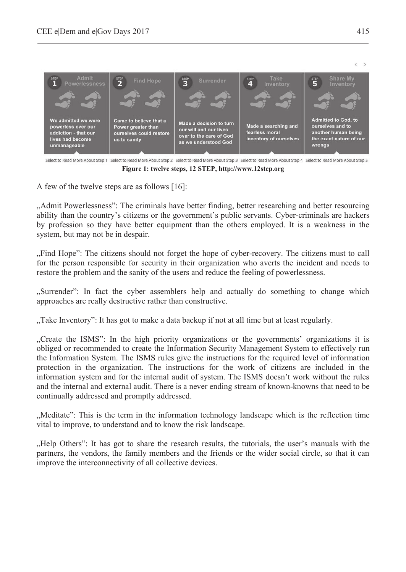

Select to Read More About Step 1 Select to Read More About Step 2 Select to Read More About Step 3 Select to Read More About Step 4 Select to Read More About Step 5 **Figure 1: twelve steps, 12 STEP, http://www.12step.org** 

A few of the twelve steps are as follows [16]:

"Admit Powerlessness": The criminals have better finding, better researching and better resourcing ability than the country's citizens or the government's public servants. Cyber-criminals are hackers by profession so they have better equipment than the others employed. It is a weakness in the system, but may not be in despair.

"Find Hope": The citizens should not forget the hope of cyber-recovery. The citizens must to call for the person responsible for security in their organization who averts the incident and needs to restore the problem and the sanity of the users and reduce the feeling of powerlessness.

"Surrender": In fact the cyber assemblers help and actually do something to change which approaches are really destructive rather than constructive.

"Take Inventory": It has got to make a data backup if not at all time but at least regularly.

"Create the ISMS": In the high priority organizations or the governments' organizations it is obliged or recommended to create the Information Security Management System to effectively run the Information System. The ISMS rules give the instructions for the required level of information protection in the organization. The instructions for the work of citizens are included in the information system and for the internal audit of system. The ISMS doesn't work without the rules and the internal and external audit. There is a never ending stream of known-knowns that need to be continually addressed and promptly addressed.

"Meditate": This is the term in the information technology landscape which is the reflection time vital to improve, to understand and to know the risk landscape.

"Help Others": It has got to share the research results, the tutorials, the user's manuals with the partners, the vendors, the family members and the friends or the wider social circle, so that it can improve the interconnectivity of all collective devices.

 $\left\langle \quad \right\rangle$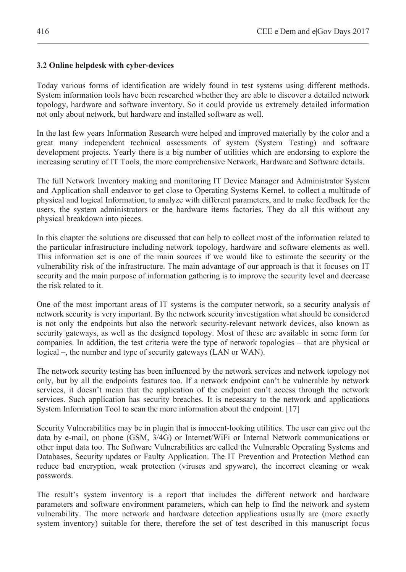## **3.2 Online helpdesk with cyber-devices**

Today various forms of identification are widely found in test systems using different methods. System information tools have been researched whether they are able to discover a detailed network topology, hardware and software inventory. So it could provide us extremely detailed information not only about network, but hardware and installed software as well.

In the last few years Information Research were helped and improved materially by the color and a great many independent technical assessments of system (System Testing) and software development projects. Yearly there is a big number of utilities which are endorsing to explore the increasing scrutiny of IT Tools, the more comprehensive Network, Hardware and Software details.

The full Network Inventory making and monitoring IT Device Manager and Administrator System and Application shall endeavor to get close to Operating Systems Kernel, to collect a multitude of physical and logical Information, to analyze with different parameters, and to make feedback for the users, the system administrators or the hardware items factories. They do all this without any physical breakdown into pieces.

In this chapter the solutions are discussed that can help to collect most of the information related to the particular infrastructure including network topology, hardware and software elements as well. This information set is one of the main sources if we would like to estimate the security or the vulnerability risk of the infrastructure. The main advantage of our approach is that it focuses on IT security and the main purpose of information gathering is to improve the security level and decrease the risk related to it.

One of the most important areas of IT systems is the computer network, so a security analysis of network security is very important. By the network security investigation what should be considered is not only the endpoints but also the network security-relevant network devices, also known as security gateways, as well as the designed topology. Most of these are available in some form for companies. In addition, the test criteria were the type of network topologies – that are physical or logical –, the number and type of security gateways (LAN or WAN).

The network security testing has been influenced by the network services and network topology not only, but by all the endpoints features too. If a network endpoint can't be vulnerable by network services, it doesn't mean that the application of the endpoint can't access through the network services. Such application has security breaches. It is necessary to the network and applications System Information Tool to scan the more information about the endpoint. [17]

Security Vulnerabilities may be in plugin that is innocent-looking utilities. The user can give out the data by e-mail, on phone (GSM, 3/4G) or Internet/WiFi or Internal Network communications or other input data too. The Software Vulnerabilities are called the Vulnerable Operating Systems and Databases, Security updates or Faulty Application. The IT Prevention and Protection Method can reduce bad encryption, weak protection (viruses and spyware), the incorrect cleaning or weak passwords.

The result's system inventory is a report that includes the different network and hardware parameters and software environment parameters, which can help to find the network and system vulnerability. The more network and hardware detection applications usually are (more exactly system inventory) suitable for there, therefore the set of test described in this manuscript focus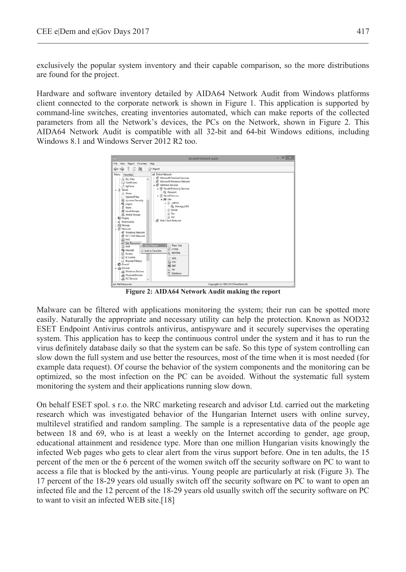exclusively the popular system inventory and their capable comparison, so the more distributions are found for the project.

Hardware and software inventory detailed by AIDA64 Network Audit from Windows platforms client connected to the corporate network is shown in Figure 1. This application is supported by command-line switches, creating inventories automated, which can make reports of the collected parameters from all the Network's devices, the PCs on the Network, shown in Figure 2. This AIDA64 Network Audit is compatible with all 32-bit and 64-bit Windows editions, including Windows 8.1 and Windows Server 2012 R2 too.



**Figure 2: AIDA64 Network Audit making the report** 

Malware can be filtered with applications monitoring the system; their run can be spotted more easily. Naturally the appropriate and necessary utility can help the protection. Known as NOD32 ESET Endpoint Antivirus controls antivirus, antispyware and it securely supervises the operating system. This application has to keep the continuous control under the system and it has to run the virus definitely database daily so that the system can be safe. So this type of system controlling can slow down the full system and use better the resources, most of the time when it is most needed (for example data request). Of course the behavior of the system components and the monitoring can be optimized, so the most infection on the PC can be avoided. Without the systematic full system monitoring the system and their applications running slow down.

On behalf ESET spol. s r.o. the NRC marketing research and advisor Ltd. carried out the marketing research which was investigated behavior of the Hungarian Internet users with online survey, multilevel stratified and random sampling. The sample is a representative data of the people age between 18 and 69, who is at least a weekly on the Internet according to gender, age group, educational attainment and residence type. More than one million Hungarian visits knowingly the infected Web pages who gets to clear alert from the virus support before. One in ten adults, the 15 percent of the men or the 6 percent of the women switch off the security software on PC to want to access a file that is blocked by the anti-virus. Young people are particularly at risk (Figure 3). The 17 percent of the 18-29 years old usually switch off the security software on PC to want to open an infected file and the 12 percent of the 18-29 years old usually switch off the security software on PC to want to visit an infected WEB site.[18]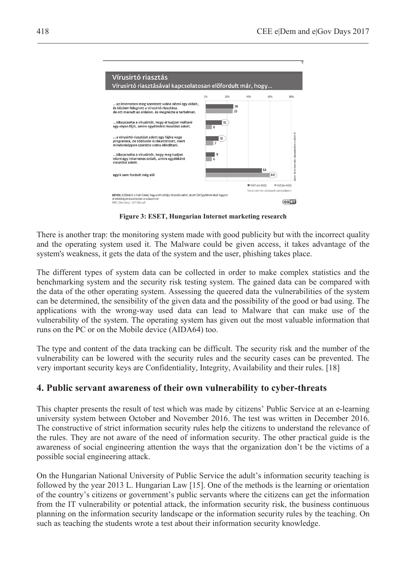| Vírusirtó riasztás                                                                                                                                                                |      |          |               |                                    |                                                |
|-----------------------------------------------------------------------------------------------------------------------------------------------------------------------------------|------|----------|---------------|------------------------------------|------------------------------------------------|
| Vírusirtó riasztásával kapcsolatosan előfordult már, hogy                                                                                                                         |      |          |               |                                    |                                                |
|                                                                                                                                                                                   | OBs. | 20%      | 40%           | 60%                                | 80%                                            |
| az interneten meg szeretett volna nézni egy oldalt,<br>és közben felugrott a vírusirtó riasztása.<br>de ott maradt az oldalon, és megnézte a tartalmat.                           |      | 26<br>25 |               |                                    |                                                |
| kikapcsolta a vírusirtót, hogy el tudjon indítani<br>egy olyan fájlt, amire egyébként riasztást adott.                                                                            | 6    | 15       |               |                                    |                                                |
| a vírusirtó riasztást adott egy fájlra vagy<br>programra, de többször is rákattintott, mert<br>mindenképpen szerette volna elindítani.                                            | 7    | 12       |               |                                    | 3dzis: 18-69 éves heti internetezőkm n=1000 fő |
| kikapcsolta a vírusirtót, hogy meg tudjon<br>nézni egy internetes oldalt, amire egyébként<br>riasztást adott.                                                                     | 6    | 9        |               |                                    |                                                |
| egyik sem fordult még elő                                                                                                                                                         |      |          |               | 53<br>60                           |                                                |
| Kérdés: Előfordult-e már Önnel, hogy a vírusirtója riasztást adott, de ezt Ön figyelmen kívül hagyta?<br>A lehetőségek közül többet is választhat!<br>NRC Omnibusz - 2011 február |      |          | Férfi (n=535) | Total szerint csökkenő sorrendben! | $N6(n=465)$<br>est                             |

**Figure 3: ESET, Hungarian Internet marketing research** 

There is another trap: the monitoring system made with good publicity but with the incorrect quality and the operating system used it. The Malware could be given access, it takes advantage of the system's weakness, it gets the data of the system and the user, phishing takes place.

The different types of system data can be collected in order to make complex statistics and the benchmarking system and the security risk testing system. The gained data can be compared with the data of the other operating system. Assessing the queered data the vulnerabilities of the system can be determined, the sensibility of the given data and the possibility of the good or bad using. The applications with the wrong-way used data can lead to Malware that can make use of the vulnerability of the system. The operating system has given out the most valuable information that runs on the PC or on the Mobile device (AIDA64) too.

The type and content of the data tracking can be difficult. The security risk and the number of the vulnerability can be lowered with the security rules and the security cases can be prevented. The very important security keys are Confidentiality, Integrity, Availability and their rules. [18]

## **4. Public servant awareness of their own vulnerability to cyber-threats**

This chapter presents the result of test which was made by citizens' Public Service at an e-learning university system between October and November 2016. The test was written in December 2016. The constructive of strict information security rules help the citizens to understand the relevance of the rules. They are not aware of the need of information security. The other practical guide is the awareness of social engineering attention the ways that the organization don't be the victims of a possible social engineering attack.

On the Hungarian National University of Public Service the adult's information security teaching is followed by the year 2013 L. Hungarian Law [15]. One of the methods is the learning or orientation of the country's citizens or government's public servants where the citizens can get the information from the IT vulnerability or potential attack, the information security risk, the business continuous planning on the information security landscape or the information security rules by the teaching. On such as teaching the students wrote a test about their information security knowledge.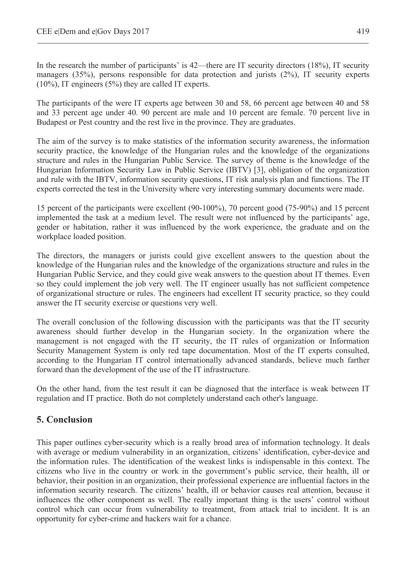In the research the number of participants' is 42—there are IT security directors (18%), IT security managers (35%), persons responsible for data protection and jurists (2%), IT security experts (10%), IT engineers (5%) they are called IT experts.

The participants of the were IT experts age between 30 and 58, 66 percent age between 40 and 58 and 33 percent age under 40. 90 percent are male and 10 percent are female. 70 percent live in Budapest or Pest country and the rest live in the province. They are graduates.

The aim of the survey is to make statistics of the information security awareness, the information security practice, the knowledge of the Hungarian rules and the knowledge of the organizations structure and rules in the Hungarian Public Service. The survey of theme is the knowledge of the Hungarian Information Security Law in Public Service (IBTV) [3], obligation of the organization and rule with the IBTV, information security questions, IT risk analysis plan and functions. The IT experts corrected the test in the University where very interesting summary documents were made.

15 percent of the participants were excellent (90-100%), 70 percent good (75-90%) and 15 percent implemented the task at a medium level. The result were not influenced by the participants' age, gender or habitation, rather it was influenced by the work experience, the graduate and on the workplace loaded position.

The directors, the managers or jurists could give excellent answers to the question about the knowledge of the Hungarian rules and the knowledge of the organizations structure and rules in the Hungarian Public Service, and they could give weak answers to the question about IT themes. Even so they could implement the job very well. The IT engineer usually has not sufficient competence of organizational structure or rules. The engineers had excellent IT security practice, so they could answer the IT security exercise or questions very well.

The overall conclusion of the following discussion with the participants was that the IT security awareness should further develop in the Hungarian society. In the organization where the management is not engaged with the IT security, the IT rules of organization or Information Security Management System is only red tape documentation. Most of the IT experts consulted, according to the Hungarian IT control internationally advanced standards, believe much farther forward than the development of the use of the IT infrastructure.

On the other hand, from the test result it can be diagnosed that the interface is weak between IT regulation and IT practice. Both do not completely understand each other's language.

## **5. Conclusion**

This paper outlines cyber-security which is a really broad area of information technology. It deals with average or medium vulnerability in an organization, citizens' identification, cyber-device and the information rules. The identification of the weakest links is indispensable in this context. The citizens who live in the country or work in the government's public service, their health, ill or behavior, their position in an organization, their professional experience are influential factors in the information security research. The citizens' health, ill or behavior causes real attention, because it influences the other component as well. The really important thing is the users' control without control which can occur from vulnerability to treatment, from attack trial to incident. It is an opportunity for cyber-crime and hackers wait for a chance.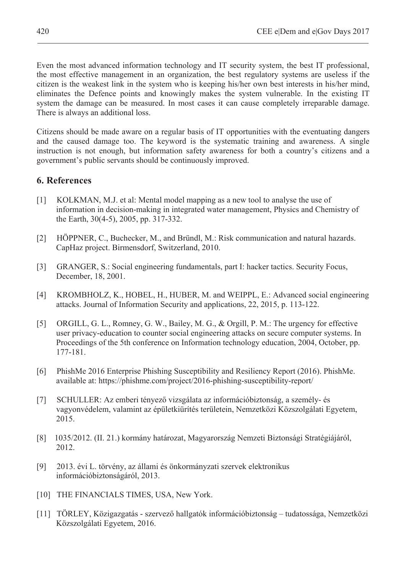Even the most advanced information technology and IT security system, the best IT professional, the most effective management in an organization, the best regulatory systems are useless if the citizen is the weakest link in the system who is keeping his/her own best interests in his/her mind, eliminates the Defence points and knowingly makes the system vulnerable. In the existing IT system the damage can be measured. In most cases it can cause completely irreparable damage. There is always an additional loss.

Citizens should be made aware on a regular basis of IT opportunities with the eventuating dangers and the caused damage too. The keyword is the systematic training and awareness. A single instruction is not enough, but information safety awareness for both a country's citizens and a government's public servants should be continuously improved.

## **6. References**

- [1] KOLKMAN, M.J. et al: Mental model mapping as a new tool to analyse the use of information in decision-making in integrated water management, Physics and Chemistry of the Earth, 30(4-5), 2005, pp. 317-332.
- [2] HÖPPNER, C., Buchecker, M., and Bründl, M.: Risk communication and natural hazards. CapHaz project. Birmensdorf, Switzerland, 2010.
- [3] GRANGER, S.: Social engineering fundamentals, part I: hacker tactics. Security Focus, December, 18, 2001.
- [4] KROMBHOLZ, K., HOBEL, H., HUBER, M. and WEIPPL, E.: Advanced social engineering attacks. Journal of Information Security and applications, 22, 2015, p. 113-122.
- [5] ORGILL, G. L., Romney, G. W., Bailey, M. G., & Orgill, P. M.: The urgency for effective user privacy-education to counter social engineering attacks on secure computer systems. In Proceedings of the 5th conference on Information technology education, 2004, October, pp. 177-181.
- [6] PhishMe 2016 Enterprise Phishing Susceptibility and Resiliency Report (2016). PhishMe. available at: https://phishme.com/project/2016-phishing-susceptibility-report/
- [7] SCHULLER: Az emberi tényező vizsgálata az információbiztonság, a személy- és vagyonvédelem, valamint az épületkiürítés területein, Nemzetközi Közszolgálati Egyetem, 2015.
- [8] 1035/2012. (II. 21.) kormány határozat, Magyarország Nemzeti Biztonsági Stratégiájáról, 2012.
- [9] 2013. évi L. törvény, az állami és önkormányzati szervek elektronikus információbiztonságáról, 2013.
- [10] THE FINANCIALS TIMES, USA, New York.
- $[11]$  TÖRLEY, Közigazgatás szervező hallgatók információbiztonság tudatossága, Nemzetközi Közszolgálati Egyetem, 2016.